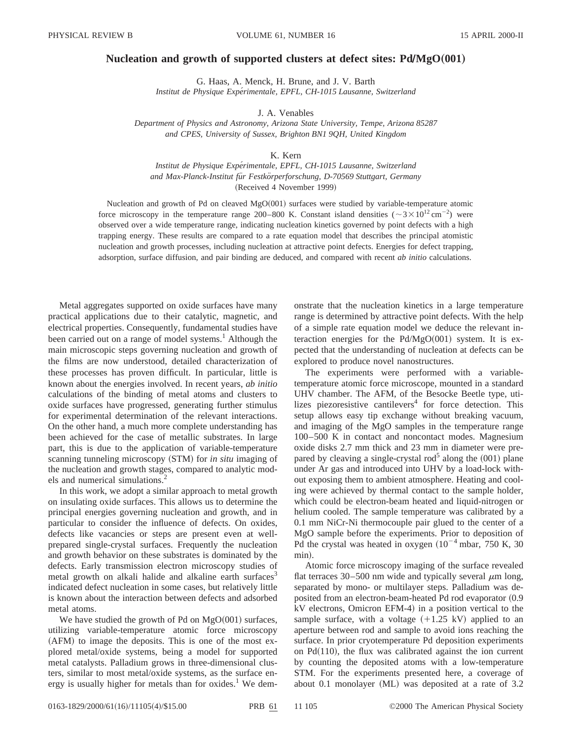## **Nucleation and growth of supported clusters at defect sites: Pd/MgO** $(001)$

G. Haas, A. Menck, H. Brune, and J. V. Barth *Institut de Physique Expe´rimentale, EPFL, CH-1015 Lausanne, Switzerland*

J. A. Venables

*Department of Physics and Astronomy, Arizona State University, Tempe, Arizona 85287 and CPES, University of Sussex, Brighton BN1 9QH, United Kingdom*

## K. Kern

*Institut de Physique Expe´rimentale, EPFL, CH-1015 Lausanne, Switzerland and Max-Planck-Institut fu¨r Festko¨rperforschung, D-70569 Stuttgart, Germany* (Received 4 November 1999)

Nucleation and growth of Pd on cleaved MgO(001) surfaces were studied by variable-temperature atomic force microscopy in the temperature range 200–800 K. Constant island densities  $(\sim 3 \times 10^{12} \text{ cm}^{-2})$  were observed over a wide temperature range, indicating nucleation kinetics governed by point defects with a high trapping energy. These results are compared to a rate equation model that describes the principal atomistic nucleation and growth processes, including nucleation at attractive point defects. Energies for defect trapping, adsorption, surface diffusion, and pair binding are deduced, and compared with recent *ab initio* calculations.

Metal aggregates supported on oxide surfaces have many practical applications due to their catalytic, magnetic, and electrical properties. Consequently, fundamental studies have been carried out on a range of model systems.<sup>1</sup> Although the main microscopic steps governing nucleation and growth of the films are now understood, detailed characterization of these processes has proven difficult. In particular, little is known about the energies involved. In recent years, *ab initio* calculations of the binding of metal atoms and clusters to oxide surfaces have progressed, generating further stimulus for experimental determination of the relevant interactions. On the other hand, a much more complete understanding has been achieved for the case of metallic substrates. In large part, this is due to the application of variable-temperature scanning tunneling microscopy (STM) for *in situ* imaging of the nucleation and growth stages, compared to analytic models and numerical simulations.<sup>2</sup>

In this work, we adopt a similar approach to metal growth on insulating oxide surfaces. This allows us to determine the principal energies governing nucleation and growth, and in particular to consider the influence of defects. On oxides, defects like vacancies or steps are present even at wellprepared single-crystal surfaces. Frequently the nucleation and growth behavior on these substrates is dominated by the defects. Early transmission electron microscopy studies of metal growth on alkali halide and alkaline earth surfaces<sup>3</sup> indicated defect nucleation in some cases, but relatively little is known about the interaction between defects and adsorbed metal atoms.

We have studied the growth of Pd on  $MgO(001)$  surfaces, utilizing variable-temperature atomic force microscopy  $(AFM)$  to image the deposits. This is one of the most explored metal/oxide systems, being a model for supported metal catalysts. Palladium grows in three-dimensional clusters, similar to most metal/oxide systems, as the surface energy is usually higher for metals than for oxides.<sup>1</sup> We demonstrate that the nucleation kinetics in a large temperature range is determined by attractive point defects. With the help of a simple rate equation model we deduce the relevant interaction energies for the  $Pd/MgO(001)$  system. It is expected that the understanding of nucleation at defects can be explored to produce novel nanostructures.

The experiments were performed with a variabletemperature atomic force microscope, mounted in a standard UHV chamber. The AFM, of the Besocke Beetle type, utilizes piezoresistive cantilevers $4$  for force detection. This setup allows easy tip exchange without breaking vacuum, and imaging of the MgO samples in the temperature range 100–500 K in contact and noncontact modes. Magnesium oxide disks 2.7 mm thick and 23 mm in diameter were prepared by cleaving a single-crystal rod<sup>5</sup> along the  $(001)$  plane under Ar gas and introduced into UHV by a load-lock without exposing them to ambient atmosphere. Heating and cooling were achieved by thermal contact to the sample holder, which could be electron-beam heated and liquid-nitrogen or helium cooled. The sample temperature was calibrated by a 0.1 mm NiCr-Ni thermocouple pair glued to the center of a MgO sample before the experiments. Prior to deposition of Pd the crystal was heated in oxygen  $(10^{-4} \text{ mbar}, 750 \text{ K}, 30)$ min).

Atomic force microscopy imaging of the surface revealed flat terraces 30–500 nm wide and typically several  $\mu$ m long, separated by mono- or multilayer steps. Palladium was deposited from an electron-beam-heated Pd rod evaporator  $(0.9)$  $kV$  electrons, Omicron EFM-4) in a position vertical to the sample surface, with a voltage  $(+1.25 \text{ kV})$  applied to an aperture between rod and sample to avoid ions reaching the surface. In prior cryotemperature Pd deposition experiments on Pd $(110)$ , the flux was calibrated against the ion current by counting the deposited atoms with a low-temperature STM. For the experiments presented here, a coverage of about 0.1 monolayer (ML) was deposited at a rate of  $3.2$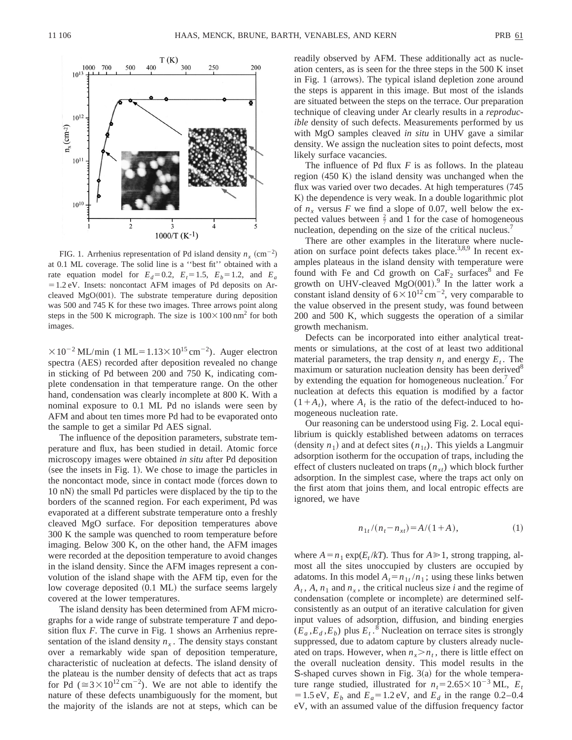

FIG. 1. Arrhenius representation of Pd island density  $n_x$  (cm<sup>-2</sup>) at 0.1 ML coverage. The solid line is a ''best fit'' obtained with a rate equation model for  $E_d=0.2$ ,  $E_t=1.5$ ,  $E_b=1.2$ , and  $E_a$  $=1.2$  eV. Insets: noncontact AFM images of Pd deposits on Arcleaved MgO $(001)$ . The substrate temperature during deposition was 500 and 745 K for these two images. Three arrows point along steps in the 500 K micrograph. The size is  $100 \times 100$  nm<sup>2</sup> for both images.

 $\times 10^{-2}$  ML/min (1 ML=1.13 $\times 10^{15}$  cm<sup>-2</sup>). Auger electron spectra (AES) recorded after deposition revealed no change in sticking of Pd between 200 and 750 K, indicating complete condensation in that temperature range. On the other hand, condensation was clearly incomplete at 800 K. With a nominal exposure to 0.1 ML Pd no islands were seen by AFM and about ten times more Pd had to be evaporated onto the sample to get a similar Pd AES signal.

The influence of the deposition parameters, substrate temperature and flux, has been studied in detail. Atomic force microscopy images were obtained *in situ* after Pd deposition (see the insets in Fig. 1). We chose to image the particles in the noncontact mode, since in contact mode (forces down to 10 nN) the small Pd particles were displaced by the tip to the borders of the scanned region. For each experiment, Pd was evaporated at a different substrate temperature onto a freshly cleaved MgO surface. For deposition temperatures above 300 K the sample was quenched to room temperature before imaging. Below 300 K, on the other hand, the AFM images were recorded at the deposition temperature to avoid changes in the island density. Since the AFM images represent a convolution of the island shape with the AFM tip, even for the low coverage deposited  $(0.1 \text{ ML})$  the surface seems largely covered at the lower temperatures.

The island density has been determined from AFM micrographs for a wide range of substrate temperature *T* and deposition flux *F*. The curve in Fig. 1 shows an Arrhenius representation of the island density  $n_x$ . The density stays constant over a remarkably wide span of deposition temperature, characteristic of nucleation at defects. The island density of the plateau is the number density of defects that act as traps for Pd ( $\approx 3 \times 10^{12} \text{ cm}^{-2}$ ). We are not able to identify the nature of these defects unambiguously for the moment, but the majority of the islands are not at steps, which can be readily observed by AFM. These additionally act as nucleation centers, as is seen for the three steps in the 500 K inset in Fig. 1 (arrows). The typical island depletion zone around the steps is apparent in this image. But most of the islands are situated between the steps on the terrace. Our preparation technique of cleaving under Ar clearly results in a *reproducible* density of such defects. Measurements performed by us with MgO samples cleaved *in situ* in UHV gave a similar density. We assign the nucleation sites to point defects, most likely surface vacancies.

The influence of Pd flux *F* is as follows. In the plateau region  $(450 \text{ K})$  the island density was unchanged when the flux was varied over two decades. At high temperatures (745) K) the dependence is very weak. In a double logarithmic plot of  $n_x$  versus F we find a slope of 0.07, well below the expected values between  $\frac{2}{7}$  and 1 for the case of homogeneous nucleation, depending on the size of the critical nucleus.<sup>7</sup>

There are other examples in the literature where nucleation on surface point defects takes place.<sup>3,8,9</sup> In recent examples plateaus in the island density with temperature were found with Fe and Cd growth on  $CaF<sub>2</sub>$  surfaces<sup>8</sup> and Fe growth on UHV-cleaved MgO $(001)$ .<sup>9</sup> In the latter work a constant island density of  $6 \times 10^{12}$  cm<sup>-2</sup>, very comparable to the value observed in the present study, was found between 200 and 500 K, which suggests the operation of a similar growth mechanism.

Defects can be incorporated into either analytical treatments or simulations, at the cost of at least two additional material parameters, the trap density  $n_t$  and energy  $E_t$ . The maximum or saturation nucleation density has been derived<sup>8</sup> by extending the equation for homogeneous nucleation.7 For nucleation at defects this equation is modified by a factor  $(1+A_t)$ , where  $A_t$  is the ratio of the defect-induced to homogeneous nucleation rate.

Our reasoning can be understood using Fig. 2. Local equilibrium is quickly established between adatoms on terraces (density  $n_1$ ) and at defect sites  $(n_{1t})$ . This yields a Langmuir adsorption isotherm for the occupation of traps, including the effect of clusters nucleated on traps  $(n_{xt})$  which block further adsorption. In the simplest case, where the traps act only on the first atom that joins them, and local entropic effects are ignored, we have

$$
n_{1t}/(n_t - n_{xt}) = A/(1 + A), \tag{1}
$$

where  $A = n_1 \exp(E_t / kT)$ . Thus for  $A \ge 1$ , strong trapping, almost all the sites unoccupied by clusters are occupied by adatoms. In this model  $A_t = n_{1t}/n_1$ ; using these links betwen  $A_t$ ,  $A$ ,  $n_1$  and  $n_x$ , the critical nucleus size *i* and the regime of condensation (complete or incomplete) are determined selfconsistently as an output of an iterative calculation for given input values of adsorption, diffusion, and binding energies  $(\tilde{E}_a, E_d, E_b)$  plus  $E_t$ .<sup>8</sup> Nucleation on terrace sites is strongly suppressed, due to adatom capture by clusters already nucleated on traps. However, when  $n_r > n_t$ , there is little effect on the overall nucleation density. This model results in the S-shaped curves shown in Fig.  $3(a)$  for the whole temperature range studied, illustrated for  $n_t = 2.65 \times 10^{-3}$  ML,  $E_t$  $=1.5 \text{ eV}, E_b$  and  $E_a = 1.2 \text{ eV},$  and  $E_d$  in the range 0.2–0.4 eV, with an assumed value of the diffusion frequency factor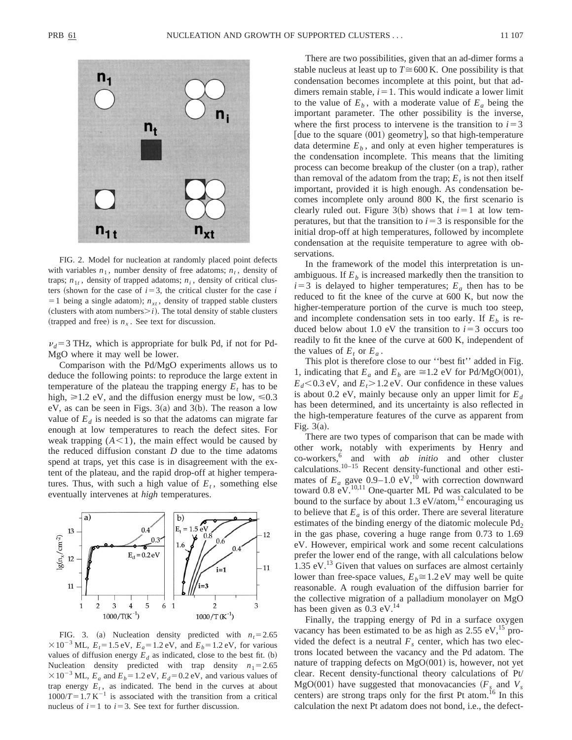

FIG. 2. Model for nucleation at randomly placed point defects with variables  $n_1$ , number density of free adatoms;  $n_t$ , density of traps;  $n_{1t}$ , density of trapped adatoms;  $n_i$ , density of critical clusters (shown for the case of  $i=3$ , the critical cluster for the case *i*  $=1$  being a single adatom);  $n_{xt}$ , density of trapped stable clusters (clusters with atom numbers $\geq i$ ). The total density of stable clusters (trapped and free) is  $n<sub>x</sub>$ . See text for discussion.

 $v_d$ =3 THz, which is appropriate for bulk Pd, if not for Pd-MgO where it may well be lower.

Comparison with the Pd/MgO experiments allows us to deduce the following points: to reproduce the large extent in temperature of the plateau the trapping energy  $E_t$  has to be high,  $\geq 1.2$  eV, and the diffusion energy must be low,  $\leq 0.3$ eV, as can be seen in Figs.  $3(a)$  and  $3(b)$ . The reason a low value of  $E_d$  is needed is so that the adatoms can migrate far enough at low temperatures to reach the defect sites. For weak trapping  $(A<1)$ , the main effect would be caused by the reduced diffusion constant *D* due to the time adatoms spend at traps, yet this case is in disagreement with the extent of the plateau, and the rapid drop-off at higher temperatures. Thus, with such a high value of  $E_t$ , something else eventually intervenes at *high* temperatures.



FIG. 3. (a) Nucleation density predicted with  $n_t=2.65$  $\times 10^{-3}$  ML,  $E_t = 1.5$  eV,  $E_a = 1.2$  eV, and  $E_b = 1.2$  eV, for various values of diffusion energy  $E_d$  as indicated, close to the best fit. (b) Nucleation density predicted with trap density  $n_1=2.65$  $\times 10^{-3}$  ML,  $E_a$  and  $E_b$  = 1.2 eV,  $E_d$  = 0.2 eV, and various values of trap energy  $E_t$ , as indicated. The bend in the curves at about  $1000/T = 1.7 \text{ K}^{-1}$  is associated with the transition from a critical nucleus of  $i=1$  to  $i=3$ . See text for further discussion.

There are two possibilities, given that an ad-dimer forms a stable nucleus at least up to  $T \approx 600$  K. One possibility is that condensation becomes incomplete at this point, but that addimers remain stable,  $i=1$ . This would indicate a lower limit to the value of  $E_b$ , with a moderate value of  $E_a$  being the important parameter. The other possibility is the inverse, where the first process to intervene is the transition to  $i=3$  $\lceil$  due to the square  $(001)$  geometry, so that high-temperature data determine  $E<sub>b</sub>$ , and only at even higher temperatures is the condensation incomplete. This means that the limiting process can become breakup of the cluster (on a trap), rather than removal of the adatom from the trap;  $E_t$  is not then itself important, provided it is high enough. As condensation becomes incomplete only around 800 K, the first scenario is clearly ruled out. Figure  $3(b)$  shows that  $i=1$  at low temperatures, but that the transition to  $i=3$  is responsible for the initial drop-off at high temperatures, followed by incomplete condensation at the requisite temperature to agree with observations.

In the framework of the model this interpretation is unambiguous. If  $E<sub>b</sub>$  is increased markedly then the transition to  $i=3$  is delayed to higher temperatures;  $E_a$  then has to be reduced to fit the knee of the curve at 600 K, but now the higher-temperature portion of the curve is much too steep, and incomplete condensation sets in too early. If  $E<sub>b</sub>$  is reduced below about 1.0 eV the transition to  $i=3$  occurs too readily to fit the knee of the curve at 600 K, independent of the values of  $E_t$  or  $E_a$ .

This plot is therefore close to our ''best fit'' added in Fig. 1, indicating that  $E_a$  and  $E_b$  are  $\approx$ 1.2 eV for Pd/MgO(001),  $E_d$ <0.3 eV, and  $E_t$ >1.2 eV. Our confidence in these values is about 0.2 eV, mainly because only an upper limit for  $E_d$ has been determined, and its uncertainty is also reflected in the high-temperature features of the curve as apparent from Fig.  $3(a)$ .

There are two types of comparison that can be made with other work, notably with experiments by Henry and co-workers,6 and with *ab initio* and other cluster calculations. $10-15$  Recent density-functional and other estimates of  $E_a$  gave 0.9–1.0 eV,<sup>10</sup> with correction downward toward  $0.8 \text{ eV}$ .<sup>10,11</sup> One-quarter ML Pd was calculated to be bound to the surface by about 1.3  $eV$ /atom,<sup>12</sup> encouraging us to believe that  $E_a$  is of this order. There are several literature estimates of the binding energy of the diatomic molecule  $Pd<sub>2</sub>$ in the gas phase, covering a huge range from 0.73 to 1.69 eV. However, empirical work and some recent calculations prefer the lower end of the range, with all calculations below 1.35 eV. $^{13}$  Given that values on surfaces are almost certainly lower than free-space values,  $E_b \cong 1.2$  eV may well be quite reasonable. A rough evaluation of the diffusion barrier for the collective migration of a palladium monolayer on MgO has been given as  $0.3$  eV.<sup>14</sup>

Finally, the trapping energy of Pd in a surface oxygen vacancy has been estimated to be as high as  $2.55 \text{ eV}$ ,<sup>15</sup> provided the defect is a neutral  $F<sub>s</sub>$  center, which has two electrons located between the vacancy and the Pd adatom. The nature of trapping defects on  $MgO(001)$  is, however, not yet clear. Recent density-functional theory calculations of Pt/ MgO $(001)$  have suggested that monovacancies  $(F_s$  and  $V_s$ centers) are strong traps only for the first Pt atom.<sup>16</sup> In this calculation the next Pt adatom does not bond, i.e., the defect